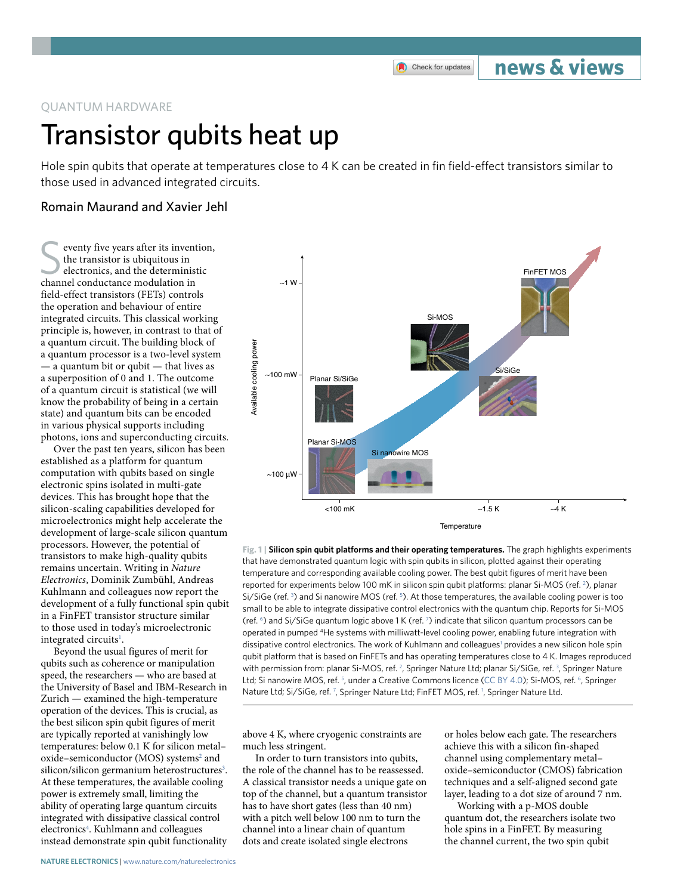Check for updates

## **news & views**

#### QUANTUM HARDWARE

# Transistor qubits heat up

Hole spin qubits that operate at temperatures close to 4 K can be created in fin field-effect transistors similar to those used in advanced integrated circuits.

### Romain Maurand and Xavier Jehl

eventy five years after its invention, the transistor is ubiquitous in electronics, and the deterministic channel conductance modulation in field-effect transistors (FETs) controls the operation and behaviour of entire integrated circuits. This classical working principle is, however, in contrast to that of a quantum circuit. The building block of a quantum processor is a two-level system — a quantum bit or qubit — that lives as a superposition of 0 and 1. The outcome of a quantum circuit is statistical (we will know the probability of being in a certain state) and quantum bits can be encoded in various physical supports including photons, ions and superconducting circuits.

Over the past ten years, silicon has been established as a platform for quantum computation with qubits based on single electronic spins isolated in multi-gate devices. This has brought hope that the silicon-scaling capabilities developed for microelectronics might help accelerate the development of large-scale silicon quantum processors. However, the potential of transistors to make high-quality qubits remains uncertain. Writing in *Nature Electronics*, Dominik Zumbühl, Andreas Kuhlmann and colleagues now report the development of a fully functional spin qubit in a FinFET transistor structure similar to those used in today's microelectronic integrated circuits<sup>[1](#page-1-0)</sup>.

Beyond the usual figures of merit for qubits such as coherence or manipulation speed, the researchers — who are based at the University of Basel and IBM-Research in Zurich — examined the high-temperature operation of the devices. This is crucial, as the best silicon spin qubit figures of merit are typically reported at vanishingly low temperatures: below 0.1 K for silicon metal– oxide-semiconductor (MOS) systems<sup>[2](#page-1-1)</sup> and silicon/silicon germanium heterostructures<sup>3</sup>. At these temperatures, the available cooling power is extremely small, limiting the ability of operating large quantum circuits integrated with dissipative classical control electronics<sup>4</sup>. Kuhlmann and colleagues instead demonstrate spin qubit functionality



<span id="page-0-0"></span>**Fig. 1 | Silicon spin qubit platforms and their operating temperatures.** The graph highlights experiments that have demonstrated quantum logic with spin qubits in silicon, plotted against their operating temperature and corresponding available cooling power. The best qubit figures of merit have been reported for experiments below 100 mK in silicon spin qubit platforms: planar Si-MOS (ref. <sup>2</sup>), planar Si/SiGe (ref.  $3$ ) and Si nanowire MOS (ref.  $5$ ). At those temperatures, the available cooling power is too small to be able to integrate dissipative control electronics with the quantum chip. Reports for Si-MOS (ref. [6\)](#page-1-5) and Si/SiGe quantum logic above 1 K (ref. [7](#page-1-6) ) indicate that silicon quantum processors can be operated in pumped 4He systems with milliwatt-level cooling power, enabling future integration with dissipative control electronics. The work of Kuhlmann and colleagues<sup>1</sup> provides a new silicon hole spin qubit platform that is based on FinFETs and has operating temperatures close to 4 K. Images reproduced with permission from: planar Si-MOS, ref. <sup>2</sup>, Springer Nature Ltd; planar Si/SiGe, ref. <sup>[3](#page-1-2)</sup>, Springer Nature Ltd; Si nanowire MOS, ref. <sup>[5](#page-1-4)</sup>, under a Creative Commons licence [\(CC BY 4.0](http://creativecommons.org/licenses/by/4.0)); Si-MOS, ref. <sup>6</sup>, Springer Nature Ltd; Si/SiGe, ref. [7](#page-1-6), Springer Nature Ltd; FinFET MOS, ref. [1](#page-1-0), Springer Nature Ltd.

above 4 K, where cryogenic constraints are much less stringent.

In order to turn transistors into qubits, the role of the channel has to be reassessed. A classical transistor needs a unique gate on top of the channel, but a quantum transistor has to have short gates (less than 40 nm) with a pitch well below 100 nm to turn the channel into a linear chain of quantum dots and create isolated single electrons

or holes below each gate. The researchers achieve this with a silicon fin-shaped channel using complementary metal– oxide–semiconductor (CMOS) fabrication techniques and a self-aligned second gate layer, leading to a dot size of around 7 nm.

Working with a p-MOS double quantum dot, the researchers isolate two hole spins in a FinFET. By measuring the channel current, the two spin qubit